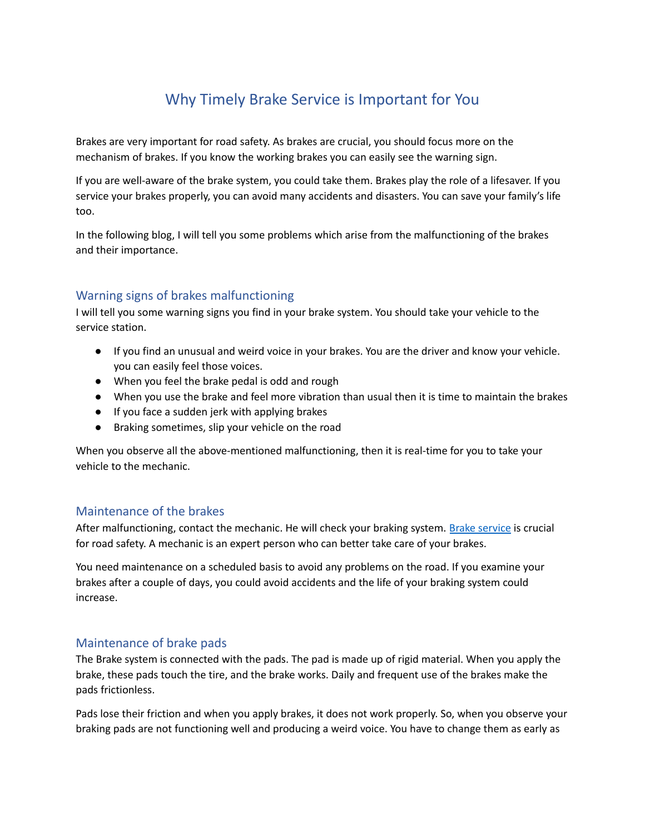# Why Timely Brake Service is Important for You

Brakes are very important for road safety. As brakes are crucial, you should focus more on the mechanism of brakes. If you know the working brakes you can easily see the warning sign.

If you are well-aware of the brake system, you could take them. Brakes play the role of a lifesaver. If you service your brakes properly, you can avoid many accidents and disasters. You can save your family's life too.

In the following blog, I will tell you some problems which arise from the malfunctioning of the brakes and their importance.

## Warning signs of brakes malfunctioning

I will tell you some warning signs you find in your brake system. You should take your vehicle to the service station.

- If you find an unusual and weird voice in your brakes. You are the driver and know your vehicle. you can easily feel those voices.
- When you feel the brake pedal is odd and rough
- When you use the brake and feel more vibration than usual then it is time to maintain the brakes
- If you face a sudden jerk with applying brakes
- Braking sometimes, slip your vehicle on the road

When you observe all the above-mentioned malfunctioning, then it is real-time for you to take your vehicle to the mechanic.

#### Maintenance of the brakes

After malfunctioning, contact the mechanic. He will check your braking system. Brake [service](http://www.eastbaytire.com/services/yuma-service-center/) is crucial for road safety. A mechanic is an expert person who can better take care of your brakes.

You need maintenance on a scheduled basis to avoid any problems on the road. If you examine your brakes after a couple of days, you could avoid accidents and the life of your braking system could increase.

#### Maintenance of brake pads

The Brake system is connected with the pads. The pad is made up of rigid material. When you apply the brake, these pads touch the tire, and the brake works. Daily and frequent use of the brakes make the pads frictionless.

Pads lose their friction and when you apply brakes, it does not work properly. So, when you observe your braking pads are not functioning well and producing a weird voice. You have to change them as early as